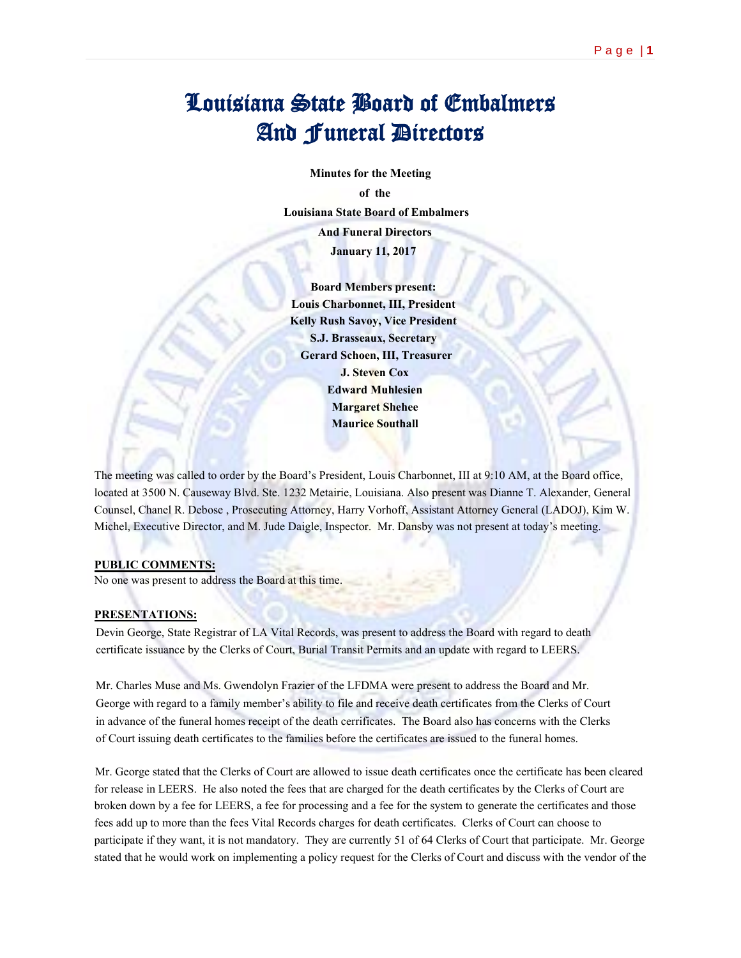# Louisiana State Board of Embalmers And Funeral Directors

 **Minutes for the Meeting of the Louisiana State Board of Embalmers**

 **And Funeral Directors**

 **January 11, 2017**

 **Board Members present: Louis Charbonnet, III, President Kelly Rush Savoy, Vice President S.J. Brasseaux, Secretary Gerard Schoen, III, Treasurer J. Steven Cox Edward Muhlesien Margaret Shehee Maurice Southall**

The meeting was called to order by the Board's President, Louis Charbonnet, III at 9:10 AM, at the Board office, located at 3500 N. Causeway Blvd. Ste. 1232 Metairie, Louisiana. Also present was Dianne T. Alexander, General Counsel, Chanel R. Debose , Prosecuting Attorney, Harry Vorhoff, Assistant Attorney General (LADOJ), Kim W. Michel, Executive Director, and M. Jude Daigle, Inspector. Mr. Dansby was not present at today's meeting.

## **PUBLIC COMMENTS:**

No one was present to address the Board at this time.

## **PRESENTATIONS:**

Devin George, State Registrar of LA Vital Records, was present to address the Board with regard to death certificate issuance by the Clerks of Court, Burial Transit Permits and an update with regard to LEERS.

Mr. Charles Muse and Ms. Gwendolyn Frazier of the LFDMA were present to address the Board and Mr. George with regard to a family member's ability to file and receive death certificates from the Clerks of Court in advance of the funeral homes receipt of the death cerrificates. The Board also has concerns with the Clerks of Court issuing death certificates to the families before the certificates are issued to the funeral homes.

Mr. George stated that the Clerks of Court are allowed to issue death certificates once the certificate has been cleared for release in LEERS. He also noted the fees that are charged for the death certificates by the Clerks of Court are broken down by a fee for LEERS, a fee for processing and a fee for the system to generate the certificates and those fees add up to more than the fees Vital Records charges for death certificates. Clerks of Court can choose to participate if they want, it is not mandatory. They are currently 51 of 64 Clerks of Court that participate. Mr. George stated that he would work on implementing a policy request for the Clerks of Court and discuss with the vendor of the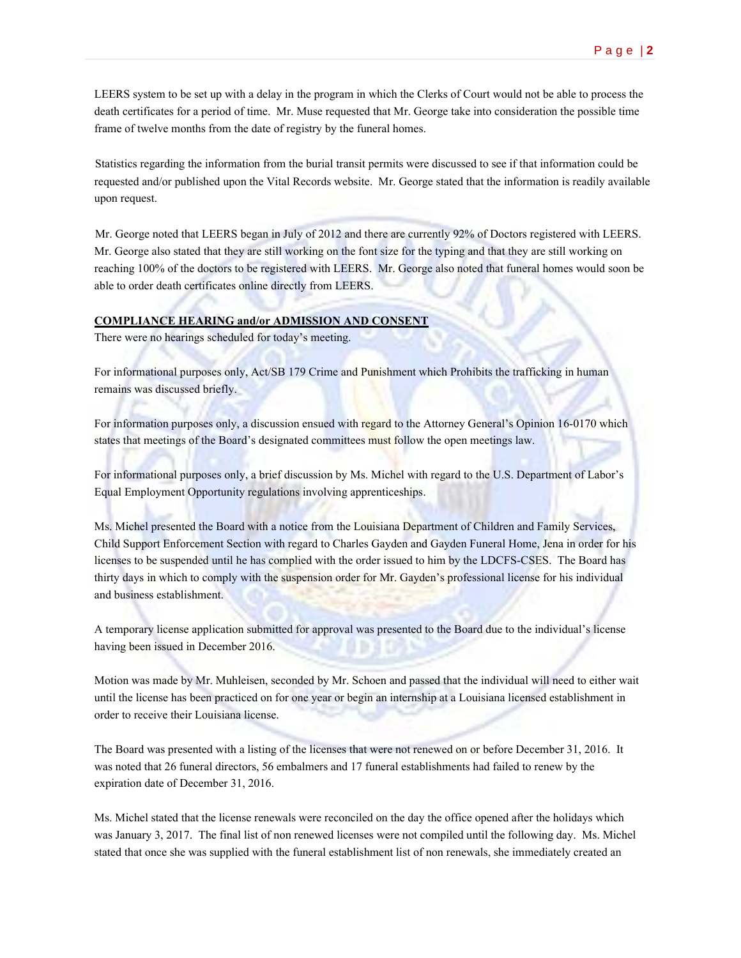LEERS system to be set up with a delay in the program in which the Clerks of Court would not be able to process the death certificates for a period of time. Mr. Muse requested that Mr. George take into consideration the possible time frame of twelve months from the date of registry by the funeral homes.

Statistics regarding the information from the burial transit permits were discussed to see if that information could be requested and/or published upon the Vital Records website. Mr. George stated that the information is readily available upon request.

Mr. George noted that LEERS began in July of 2012 and there are currently 92% of Doctors registered with LEERS. Mr. George also stated that they are still working on the font size for the typing and that they are still working on reaching 100% of the doctors to be registered with LEERS. Mr. George also noted that funeral homes would soon be able to order death certificates online directly from LEERS.

## **COMPLIANCE HEARING and/or ADMISSION AND CONSENT**

There were no hearings scheduled for today's meeting.

For informational purposes only, Act/SB 179 Crime and Punishment which Prohibits the trafficking in human remains was discussed briefly.

For information purposes only, a discussion ensued with regard to the Attorney General's Opinion 16-0170 which states that meetings of the Board's designated committees must follow the open meetings law.

For informational purposes only, a brief discussion by Ms. Michel with regard to the U.S. Department of Labor's Equal Employment Opportunity regulations involving apprenticeships.

Ms. Michel presented the Board with a notice from the Louisiana Department of Children and Family Services, Child Support Enforcement Section with regard to Charles Gayden and Gayden Funeral Home, Jena in order for his licenses to be suspended until he has complied with the order issued to him by the LDCFS-CSES. The Board has thirty days in which to comply with the suspension order for Mr. Gayden's professional license for his individual and business establishment.

A temporary license application submitted for approval was presented to the Board due to the individual's license having been issued in December 2016.

Motion was made by Mr. Muhleisen, seconded by Mr. Schoen and passed that the individual will need to either wait until the license has been practiced on for one year or begin an internship at a Louisiana licensed establishment in order to receive their Louisiana license.

The Board was presented with a listing of the licenses that were not renewed on or before December 31, 2016. It was noted that 26 funeral directors, 56 embalmers and 17 funeral establishments had failed to renew by the expiration date of December 31, 2016.

Ms. Michel stated that the license renewals were reconciled on the day the office opened after the holidays which was January 3, 2017. The final list of non renewed licenses were not compiled until the following day. Ms. Michel stated that once she was supplied with the funeral establishment list of non renewals, she immediately created an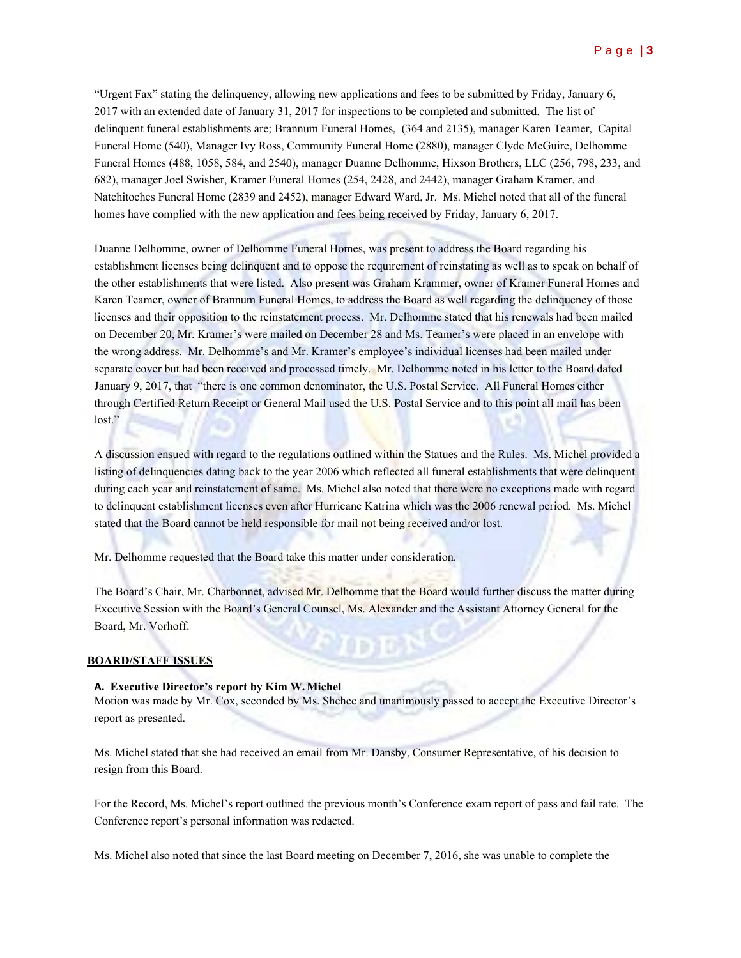"Urgent Fax" stating the delinquency, allowing new applications and fees to be submitted by Friday, January 6, 2017 with an extended date of January 31, 2017 for inspections to be completed and submitted. The list of delinquent funeral establishments are; Brannum Funeral Homes, (364 and 2135), manager Karen Teamer, Capital Funeral Home (540), Manager Ivy Ross, Community Funeral Home (2880), manager Clyde McGuire, Delhomme Funeral Homes (488, 1058, 584, and 2540), manager Duanne Delhomme, Hixson Brothers, LLC (256, 798, 233, and 682), manager Joel Swisher, Kramer Funeral Homes (254, 2428, and 2442), manager Graham Kramer, and Natchitoches Funeral Home (2839 and 2452), manager Edward Ward, Jr. Ms. Michel noted that all of the funeral homes have complied with the new application and fees being received by Friday, January 6, 2017.

Duanne Delhomme, owner of Delhomme Funeral Homes, was present to address the Board regarding his establishment licenses being delinquent and to oppose the requirement of reinstating as well as to speak on behalf of the other establishments that were listed. Also present was Graham Krammer, owner of Kramer Funeral Homes and Karen Teamer, owner of Brannum Funeral Homes, to address the Board as well regarding the delinquency of those licenses and their opposition to the reinstatement process. Mr. Delhomme stated that his renewals had been mailed on December 20, Mr. Kramer's were mailed on December 28 and Ms. Teamer's were placed in an envelope with the wrong address. Mr. Delhomme's and Mr. Kramer's employee's individual licenses had been mailed under separate cover but had been received and processed timely. Mr. Delhomme noted in his letter to the Board dated January 9, 2017, that "there is one common denominator, the U.S. Postal Service. All Funeral Homes either through Certified Return Receipt or General Mail used the U.S. Postal Service and to this point all mail has been lost."

A discussion ensued with regard to the regulations outlined within the Statues and the Rules. Ms. Michel provided a listing of delinquencies dating back to the year 2006 which reflected all funeral establishments that were delinquent during each year and reinstatement of same. Ms. Michel also noted that there were no exceptions made with regard to delinquent establishment licenses even after Hurricane Katrina which was the 2006 renewal period. Ms. Michel stated that the Board cannot be held responsible for mail not being received and/or lost.

Mr. Delhomme requested that the Board take this matter under consideration.

The Board's Chair, Mr. Charbonnet, advised Mr. Delhomme that the Board would further discuss the matter during Executive Session with the Board's General Counsel, Ms. Alexander and the Assistant Attorney General for the Board, Mr. Vorhoff.

70 e 3 DS 4

#### **BOARD/STAFF ISSUES**

#### **A. Executive Director's report by Kim W.Michel**

Motion was made by Mr. Cox, seconded by Ms. Shehee and unanimously passed to accept the Executive Director's report as presented.

Ms. Michel stated that she had received an email from Mr. Dansby, Consumer Representative, of his decision to resign from this Board.

For the Record, Ms. Michel's report outlined the previous month's Conference exam report of pass and fail rate. The Conference report's personal information was redacted.

Ms. Michel also noted that since the last Board meeting on December 7, 2016, she was unable to complete the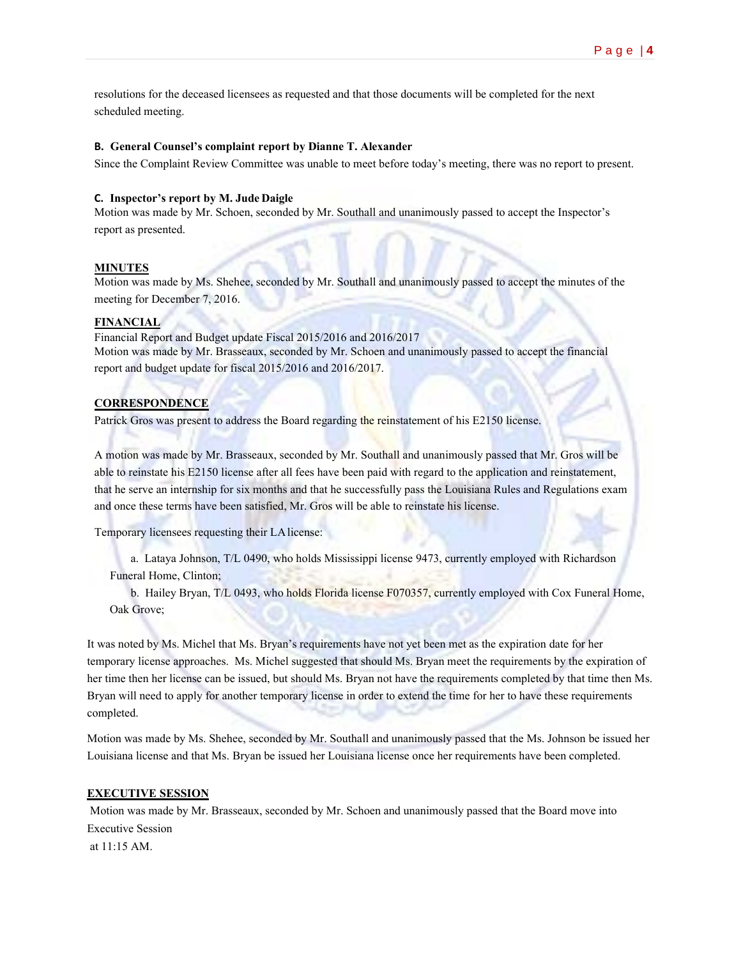resolutions for the deceased licensees as requested and that those documents will be completed for the next scheduled meeting.

#### **B. General Counsel's complaint report by Dianne T. Alexander**

Since the Complaint Review Committee was unable to meet before today's meeting, there was no report to present.

#### **C. Inspector's report by M. JudeDaigle**

Motion was made by Mr. Schoen, seconded by Mr. Southall and unanimously passed to accept the Inspector's report as presented.

### **MINUTES**

Motion was made by Ms. Shehee, seconded by Mr. Southall and unanimously passed to accept the minutes of the meeting for December 7, 2016.

## **FINANCIAL**

Financial Report and Budget update Fiscal 2015/2016 and 2016/2017 Motion was made by Mr. Brasseaux, seconded by Mr. Schoen and unanimously passed to accept the financial report and budget update for fiscal 2015/2016 and 2016/2017.

## **CORRESPONDENCE**

Patrick Gros was present to address the Board regarding the reinstatement of his E2150 license.

A motion was made by Mr. Brasseaux, seconded by Mr. Southall and unanimously passed that Mr. Gros will be able to reinstate his E2150 license after all fees have been paid with regard to the application and reinstatement, that he serve an internship for six months and that he successfully pass the Louisiana Rules and Regulations exam and once these terms have been satisfied, Mr. Gros will be able to reinstate his license.

Temporary licensees requesting their LAlicense:

a. Lataya Johnson, T/L 0490, who holds Mississippi license 9473, currently employed with Richardson Funeral Home, Clinton;

b. Hailey Bryan, T/L 0493, who holds Florida license F070357, currently employed with Cox Funeral Home, Oak Grove;

It was noted by Ms. Michel that Ms. Bryan's requirements have not yet been met as the expiration date for her temporary license approaches. Ms. Michel suggested that should Ms. Bryan meet the requirements by the expiration of her time then her license can be issued, but should Ms. Bryan not have the requirements completed by that time then Ms. Bryan will need to apply for another temporary license in order to extend the time for her to have these requirements completed.

Motion was made by Ms. Shehee, seconded by Mr. Southall and unanimously passed that the Ms. Johnson be issued her Louisiana license and that Ms. Bryan be issued her Louisiana license once her requirements have been completed.

## **EXECUTIVE SESSION**

Motion was made by Mr. Brasseaux, seconded by Mr. Schoen and unanimously passed that the Board move into Executive Session at 11:15 AM.